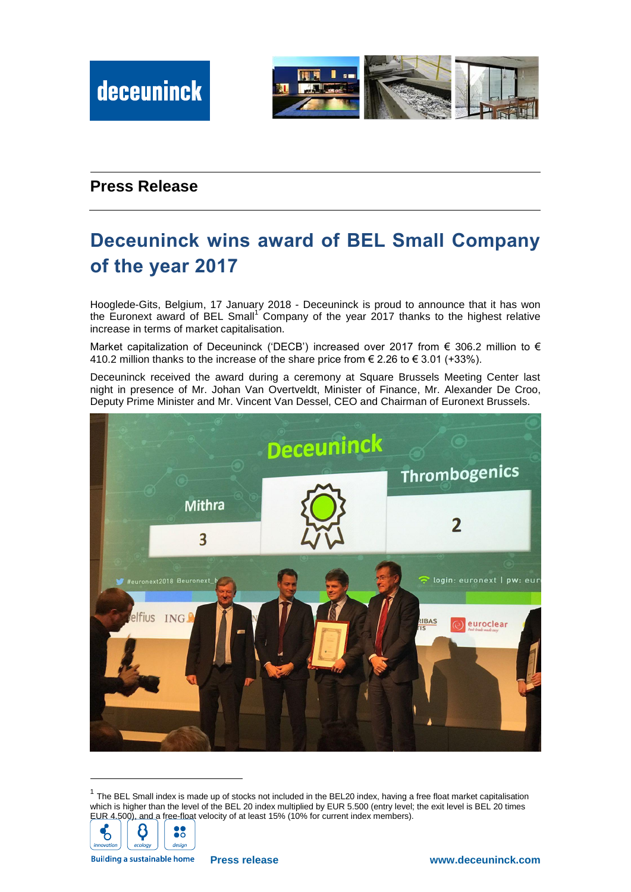

## **Press Release**

## **Deceuninck wins award of BEL Small Company of the year 2017**

Hooglede-Gits, Belgium, 17 January 2018 - Deceuninck is proud to announce that it has won the Euronext award of BEL Small<sup>1</sup> Company of the year 2017 thanks to the highest relative increase in terms of market capitalisation.

Market capitalization of Deceuninck ('DECB') increased over 2017 from € 306.2 million to € 410.2 million thanks to the increase of the share price from € 2.26 to € 3.01 (+33%).

Deceuninck received the award during a ceremony at Square Brussels Meeting Center last night in presence of Mr. Johan Van Overtveldt, Minister of Finance, Mr. Alexander De Croo, Deputy Prime Minister and Mr. Vincent Van Dessel, CEO and Chairman of Euronext Brussels.



 $1$  The BEL Small index is made up of stocks not included in the BEL20 index, having a free float market capitalisation which is higher than the level of the BEL 20 index multiplied by EUR 5.500 (entry level; the exit level is BEL 20 times EUR 4.500), and a free-float velocity of at least 15% (10% for current index members).



-